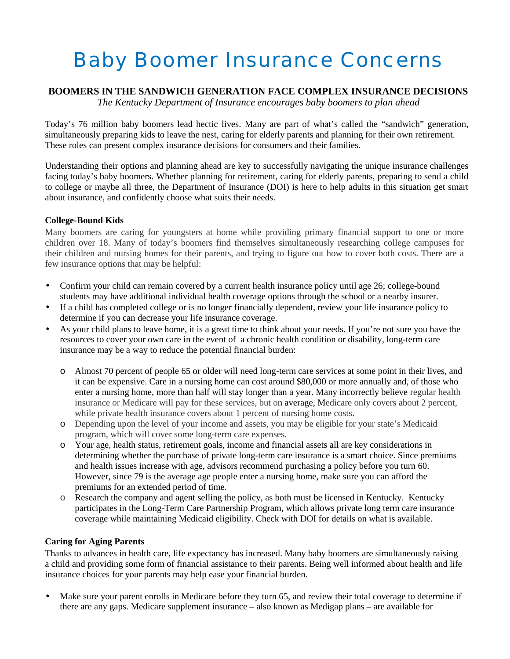# Baby Boomer Insurance Concerns

# **BOOMERS IN THE SANDWICH GENERATION FACE COMPLEX INSURANCE DECISIONS**

*The Kentucky Department of Insurance encourages baby boomers to plan ahead*

Today's 76 million baby boomers lead hectic lives. Many are part of what's called the "sandwich" generation, simultaneously preparing kids to leave the nest, caring for elderly parents and planning for their own retirement. These roles can present complex insurance decisions for consumers and their families.

Understanding their options and planning ahead are key to successfully navigating the unique insurance challenges facing today's baby boomers. Whether planning for retirement, caring for elderly parents, preparing to send a child to college or maybe all three, the Department of Insurance (DOI) is here to help adults in this situation get smart about insurance, and confidently choose what suits their needs.

## **College-Bound Kids**

Many boomers are caring for youngsters at home while providing primary financial support to one or more children over 18. Many of today's boomers find themselves simultaneously researching college campuses for their children and nursing homes for their parents, and trying to figure out how to cover both costs. There are a few insurance options that may be helpful:

- Confirm your child can remain covered by a current health insurance policy until age 26; college-bound students may have additional individual health coverage options through the school or a nearby insurer.
- If a child has completed college or is no longer financially dependent, review your life insurance policy to determine if you can decrease your life insurance coverage.
- As your child plans to leave home, it is a great time to think about your needs. If you're not sure you have the resources to cover your own care in the event of a chronic health condition or disability, long-term care insurance may be a way to reduce the potential financial burden:
	- o Almost 70 percent of people 65 or older will need long-term care services at some point in their lives, and it can be expensive. Care in a nursing home can cost around \$80,000 or more annually and, of those who enter a nursing home, more than half will stay longer than a year. Many incorrectly believe regular health insurance or Medicare will pay for these services, but on average, Medicare only covers about 2 percent, while private health insurance covers about 1 percent of nursing home costs.
	- o Depending upon the level of your income and assets, you may be eligible for your state's Medicaid program, which will cover some long-term care expenses.
	- o Your age, health status, retirement goals, income and financial assets all are key considerations in determining whether the purchase of private long-term care insurance is a smart choice. Since premiums and health issues increase with age, advisors recommend purchasing a policy before you turn 60. However, since 79 is the average age people enter a nursing home, make sure you can afford the premiums for an extended period of time.
	- o Research the company and agent selling the policy, as both must be licensed in Kentucky. Kentucky participates in the Long-Term Care Partnership Program, which allows private long term care insurance coverage while maintaining Medicaid eligibility. Check with DOI for details on what is available.

### **Caring for Aging Parents**

Thanks to advances in health care, life expectancy has increased. Many baby boomers are simultaneously raising a child and providing some form of financial assistance to their parents. Being well informed about health and life insurance choices for your parents may help ease your financial burden.

Make sure your parent enrolls in Medicare before they turn 65, and review their total coverage to determine if there are any gaps. Medicare supplement insurance – also known as Medigap plans – are available for